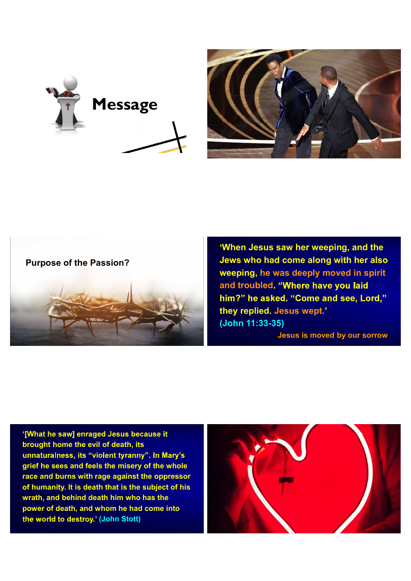



## Purpose of the Passion?



When Jesus saw her weeping, and the Jews who had come along with her also weeping, he was deeply moved in spirit and troubled. "Where have you laid him?" he asked. "Come and see, Lord," they replied. Jesus wept. (John 11:33-35) Jesus is moved by our sorrow

'[What he saw] enraged Jesus because it brought home the evil of death, its unnaturalness, its "violent tyranny". In Mary's grief he sees and feels the misery of the whole race and burns with rage against the oppressor of humanity. It is death that is the subject of his wrath, and behind death him who has the power of death, and whom he had come into the world to destroy.' (John Stott)

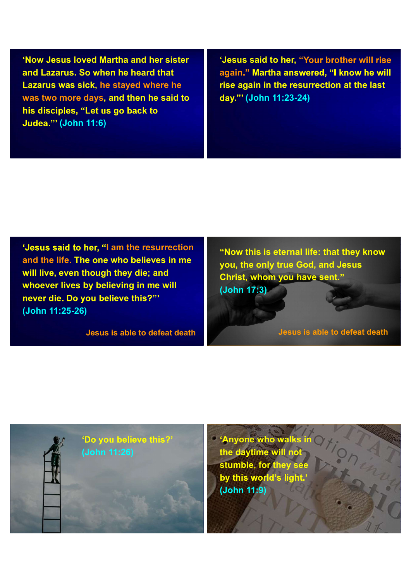Now Jesus loved Martha and her sister When Josus Joved Martha and her sister (Subsetive of the Viesus said to her, "Youth and Lazarus. So when he heard that Lazarus was sick, he stayed where he<br>
Lazarus was sick, he stayed where he rise again in the resurre wa Lazarus was sick, he stayed where he was two more days, and then he said to **Judea."' (John 11:6)** 

'Jesus said to her, "Your brother will rise again." Martha answered. "I know he will rise again in the resurrection at the last (John 11:23-24)

'Jesus said to her, "I am the resurrection and the life. The one who believes in me will live, even though they die; and whoever lives by believing in me will never die. Do vou believe this?"' (John 11:25-26)

Jesus is able to defeat death death desus is able to defeat death

"Now this is eternal life: that they know you, the only true God, and Jesus Christ, whom you have sent. (John 17:3)

the lives of His people is good to his people in the lives of the lives of the lives of the lives of the lives

the rule of Jesus shaping  $\int f(x) dx$ 



**Anyone who walks in** the daytime will not stumble, for they see by this world's light (John 11:9)